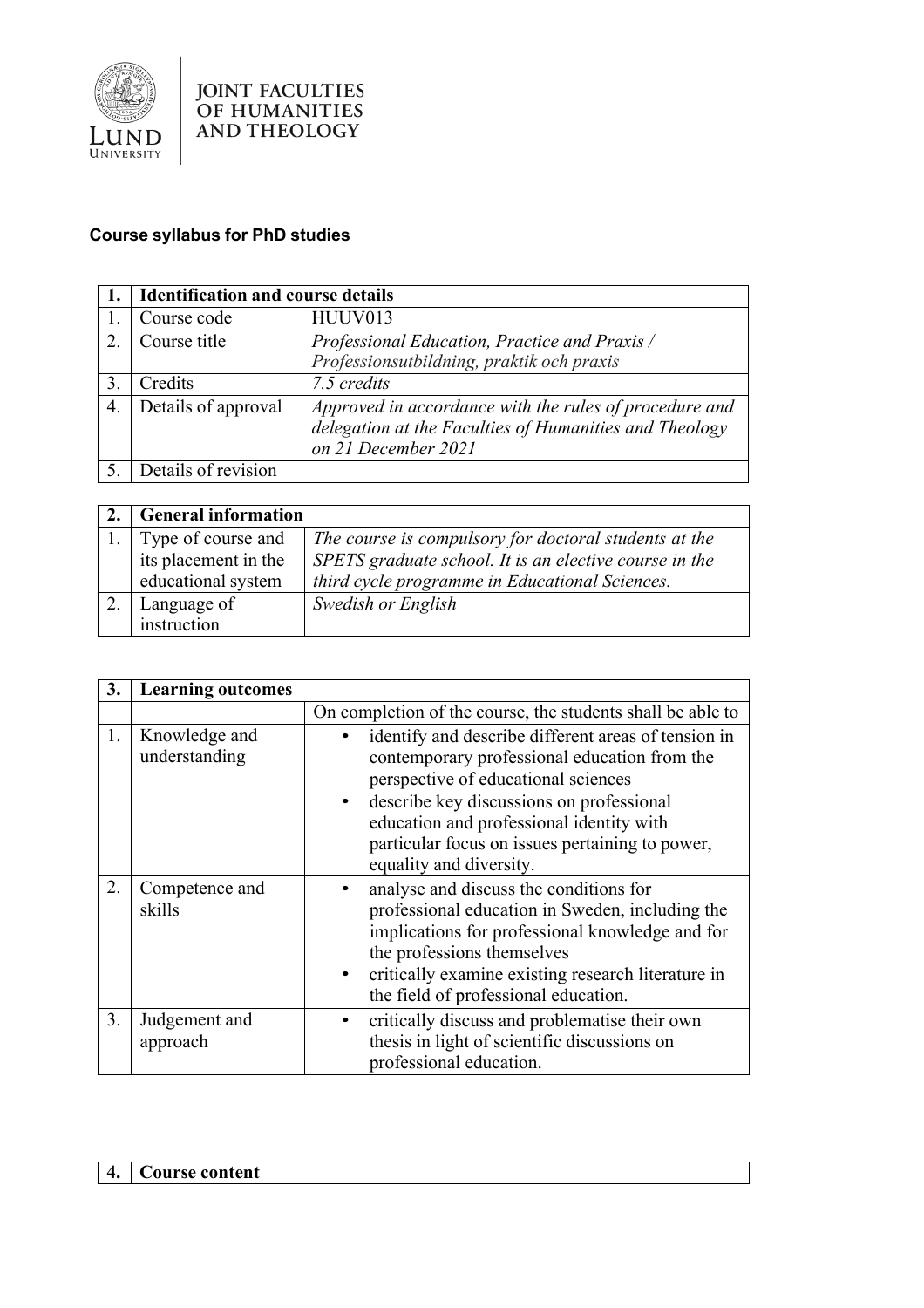

## **Course syllabus for PhD studies**

|    | <b>Identification and course details</b> |                                                                                                                                         |
|----|------------------------------------------|-----------------------------------------------------------------------------------------------------------------------------------------|
|    | Course code                              | HUUV013                                                                                                                                 |
|    | Course title                             | Professional Education, Practice and Praxis /                                                                                           |
|    |                                          | Professionsutbildning, praktik och praxis                                                                                               |
|    | Credits                                  | 7.5 credits                                                                                                                             |
| 4. | Details of approval                      | Approved in accordance with the rules of procedure and<br>delegation at the Faculties of Humanities and Theology<br>on 21 December 2021 |
|    | Details of revision                      |                                                                                                                                         |

| <b>General information</b> |                                                        |
|----------------------------|--------------------------------------------------------|
| Type of course and         | The course is compulsory for doctoral students at the  |
| its placement in the       | SPETS graduate school. It is an elective course in the |
| educational system         | third cycle programme in Educational Sciences.         |
| Language of                | Swedish or English                                     |
| instruction                |                                                        |

| 3. | <b>Learning outcomes</b>       |                                                                                                                                                                                                                                                                                                                  |
|----|--------------------------------|------------------------------------------------------------------------------------------------------------------------------------------------------------------------------------------------------------------------------------------------------------------------------------------------------------------|
|    |                                | On completion of the course, the students shall be able to                                                                                                                                                                                                                                                       |
| 1. | Knowledge and<br>understanding | identify and describe different areas of tension in<br>contemporary professional education from the<br>perspective of educational sciences<br>describe key discussions on professional<br>education and professional identity with<br>particular focus on issues pertaining to power,<br>equality and diversity. |
| 2. | Competence and<br>skills       | analyse and discuss the conditions for<br>professional education in Sweden, including the<br>implications for professional knowledge and for<br>the professions themselves<br>critically examine existing research literature in<br>the field of professional education.                                         |
| 3. | Judgement and<br>approach      | critically discuss and problematise their own<br>thesis in light of scientific discussions on<br>professional education.                                                                                                                                                                                         |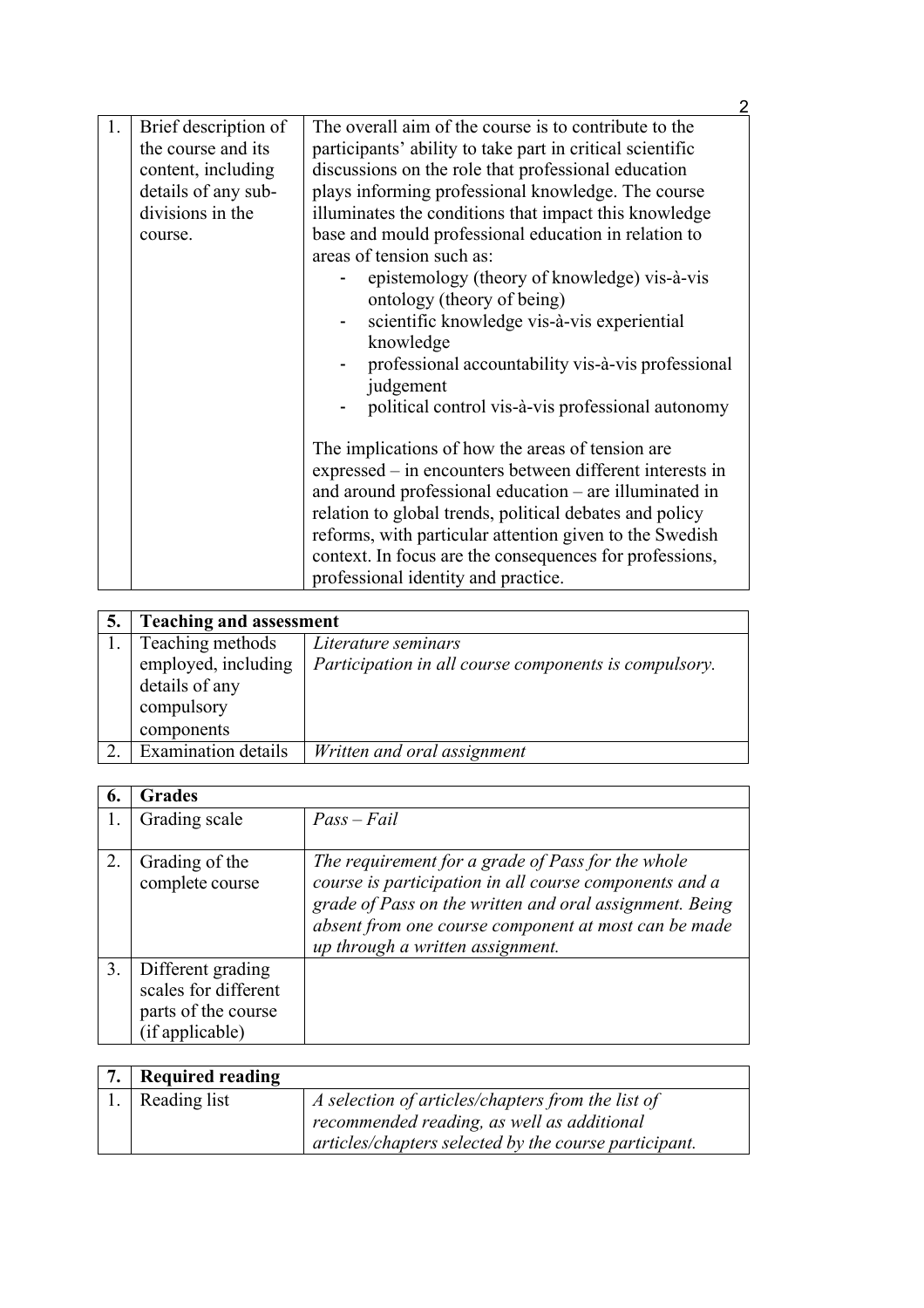|    |                                                                                                                        | 2                                                                                                                                                                                                                                                                                                                                                                                                                                                                                                                                                                                                                                               |
|----|------------------------------------------------------------------------------------------------------------------------|-------------------------------------------------------------------------------------------------------------------------------------------------------------------------------------------------------------------------------------------------------------------------------------------------------------------------------------------------------------------------------------------------------------------------------------------------------------------------------------------------------------------------------------------------------------------------------------------------------------------------------------------------|
| 1. | Brief description of<br>the course and its<br>content, including<br>details of any sub-<br>divisions in the<br>course. | The overall aim of the course is to contribute to the<br>participants' ability to take part in critical scientific<br>discussions on the role that professional education<br>plays informing professional knowledge. The course<br>illuminates the conditions that impact this knowledge<br>base and mould professional education in relation to<br>areas of tension such as:<br>epistemology (theory of knowledge) vis-à-vis<br>ontology (theory of being)<br>scientific knowledge vis-à-vis experiential<br>knowledge<br>professional accountability vis-à-vis professional<br>judgement<br>political control vis-à-vis professional autonomy |
|    |                                                                                                                        | The implications of how the areas of tension are.<br>expressed – in encounters between different interests in<br>and around professional education – are illuminated in<br>relation to global trends, political debates and policy<br>reforms, with particular attention given to the Swedish<br>context. In focus are the consequences for professions,<br>professional identity and practice.                                                                                                                                                                                                                                                 |

| <b>Teaching and assessment</b>          |                                                       |
|-----------------------------------------|-------------------------------------------------------|
| Teaching methods                        | Literature seminars                                   |
| employed, including                     | Participation in all course components is compulsory. |
| details of any                          |                                                       |
| compulsory                              |                                                       |
| components                              |                                                       |
| $\overline{\text{Examination}}$ details | Written and oral assignment                           |

| 6. | <b>Grades</b>                                                                       |                                                                                                                                                                                                                                                                    |
|----|-------------------------------------------------------------------------------------|--------------------------------------------------------------------------------------------------------------------------------------------------------------------------------------------------------------------------------------------------------------------|
|    | Grading scale                                                                       | $Pass - Fair$                                                                                                                                                                                                                                                      |
| 2. | Grading of the<br>complete course                                                   | The requirement for a grade of Pass for the whole<br>course is participation in all course components and a<br>grade of Pass on the written and oral assignment. Being<br>absent from one course component at most can be made<br>up through a written assignment. |
| 3. | Different grading<br>scales for different<br>parts of the course<br>(if applicable) |                                                                                                                                                                                                                                                                    |

| 7. Required reading |                                                       |
|---------------------|-------------------------------------------------------|
| 1. Reading list     | A selection of articles/chapters from the list of     |
|                     | recommended reading, as well as additional            |
|                     | articles/chapters selected by the course participant. |